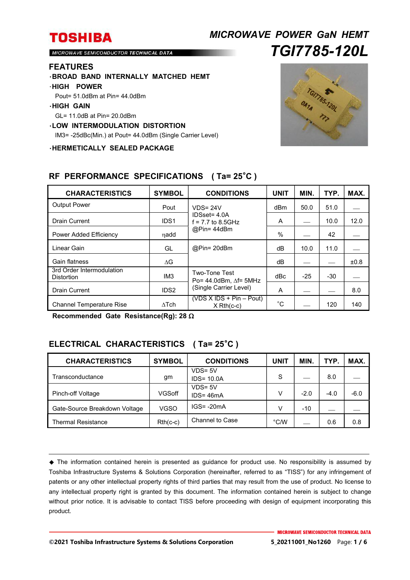## *MICROWAVE POWER GaN HEMT TGI7785-120L*

MICROWAVE SEMICONDUCTOR TECHNICAL DATA

#### **FEATURES**

・**BROAD BAND INTERNALLY MATCHED HEMT**

#### ・**HIGH POWER**

Pout= 51.0dBm at Pin= 44.0dBm

#### ・**HIGH GAIN**

GL= 11.0dB at Pin= 20.0dBm

### ・**LOW INTERMODULATION DISTORTION**

IM3= -25dBc(Min.) at Pout= 44.0dBm (Single Carrier Level)

・**HERMETICALLY SEALED PACKAGE**



| <b>CHARACTERISTICS</b>                         | <b>SYMBOL</b>    | <b>CONDITIONS</b>                                                                   | <b>UNIT</b>  | MIN.  | TYP.  | MAX. |
|------------------------------------------------|------------------|-------------------------------------------------------------------------------------|--------------|-------|-------|------|
| <b>Output Power</b>                            | Pout             | $VDS = 24V$<br>IDSset= 4.0A<br>$f = 7.7$ to 8.5GHz<br>@Pin= 44dBm                   | dBm          | 50.0  | 51.0  |      |
| Drain Current                                  | IDS <sub>1</sub> |                                                                                     | A            |       | 10.0  | 12.0 |
| Power Added Efficiency                         | ηadd             |                                                                                     | $\%$         |       | 42    |      |
| Linear Gain                                    | GL               | @Pin= 20dBm                                                                         | dВ           | 10.0  | 11.0  |      |
| Gain flatness                                  | ΔG               |                                                                                     | dB           |       |       | ±0.8 |
| 3rd Order Intermodulation<br><b>Distortion</b> | IM <sub>3</sub>  | <b>Two-Tone Test</b><br>Po= $44.0$ dBm. $\Delta f$ = 5MHz<br>(Single Carrier Level) | dBc          | $-25$ | $-30$ |      |
| <b>Drain Current</b>                           | IDS <sub>2</sub> |                                                                                     | A            |       |       | 8.0  |
| <b>Channel Temperature Rise</b>                | $\Delta$ Tch     | $(VDS X IDs + Pin - Pout)$<br>$X Rh(c-c)$                                           | $^{\circ}$ C |       | 120   | 140  |

### **RF PERFORMANCE SPECIFICATIONS ( Ta= 25**°**C )**

**Recommended Gate Resistance(Rg): 28** 

## **ELECTRICAL CHARACTERISTICS ( Ta= 25**°**C )**

| <b>CHARACTERISTICS</b>        | <b>SYMBOL</b> | <b>CONDITIONS</b>           | <b>UNIT</b>   | <b>MIN</b> | TYP.   | MAX.   |
|-------------------------------|---------------|-----------------------------|---------------|------------|--------|--------|
| Transconductance              | gm            | $VDS = 5V$<br>$IDS = 10.0A$ | S             |            | 8.0    |        |
| Pinch-off Voltage             | VGSoff        | $VDS = 5V$<br>$IDS = 46mA$  | v             | $-2.0$     | $-4.0$ | $-6.0$ |
| Gate-Source Breakdown Voltage | <b>VGSO</b>   | $IGS = -20mA$               | v             | $-10$      |        |        |
| <b>Thermal Resistance</b>     | $Rth(c-c)$    | Channel to Case             | $\degree$ C/W |            | 0.6    | 0.8    |

 The information contained herein is presented as guidance for product use. No responsibility is assumed by Toshiba Infrastructure Systems & Solutions Corporation (hereinafter, referred to as "TISS") for any infringement of patents or any other intellectual property rights of third parties that may result from the use of product. No license to any intellectual property right is granted by this document. The information contained herein is subject to change without prior notice. It is advisable to contact TISS before proceeding with design of equipment incorporating this product.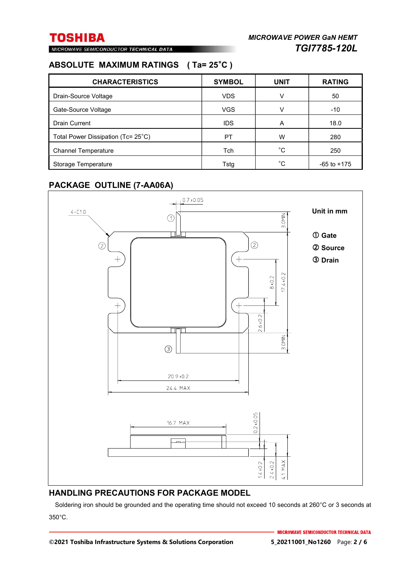MICROWAVE SEMICONDUCTOR TECHNICAL DATA

### **ABSOLUTE MAXIMUM RATINGS ( Ta= 25**°**C )**

| <b>CHARACTERISTICS</b>             | <b>SYMBOL</b> | <b>UNIT</b> | <b>RATING</b>   |
|------------------------------------|---------------|-------------|-----------------|
| Drain-Source Voltage               | <b>VDS</b>    | V           | 50              |
| Gate-Source Voltage                | <b>VGS</b>    | v           | $-10$           |
| <b>Drain Current</b>               | <b>IDS</b>    | A           | 18.0            |
| Total Power Dissipation (Tc= 25°C) | PT            | W           | 280             |
| <b>Channel Temperature</b>         | Tch           | °C          | 250             |
| Storage Temperature                | Tsta          | °C          | $-65$ to $+175$ |

### **PACKAGE OUTLINE (7-AA06A)**



### **HANDLING PRECAUTIONS FOR PACKAGE MODEL**

Soldering iron should be grounded and the operating time should not exceed 10 seconds at 260°C or 3 seconds at 350°C.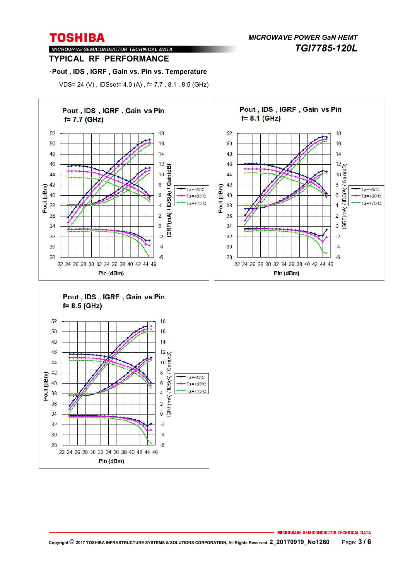*MICROWAVE POWER GaN HEMT TGI7785-120L* 

#### MICROWAVE SEMICONDUCTOR TECHNICAL DATA **TYPICAL RF PERFORMANCE**

#### ・**Pout , IDS , IGRF , Gain vs. Pin vs. Temperature**

VDS= 24 (V) , IDSset= 4.0 (A) , f= 7.7 , 8.1 , 8.5 (GHz)

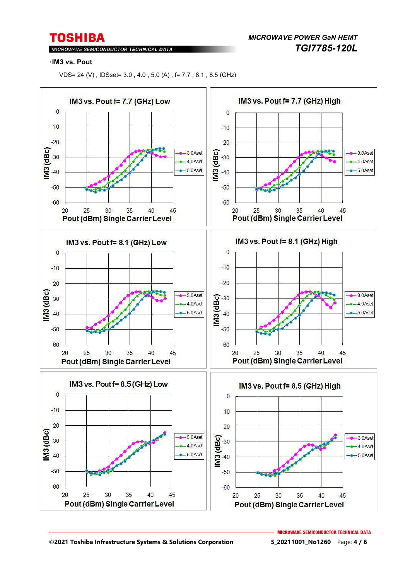MICROWAVE SEMICONDUCTOR TECHNICAL DATA

*MICROWAVE POWER GaN HEMT TGI7785-120L* 

#### ・**IM3 vs. Pout**

VDS= 24 (V) , IDSset= 3.0 , 4.0 , 5.0 (A) , f= 7.7 , 8.1 , 8.5 (GHz)

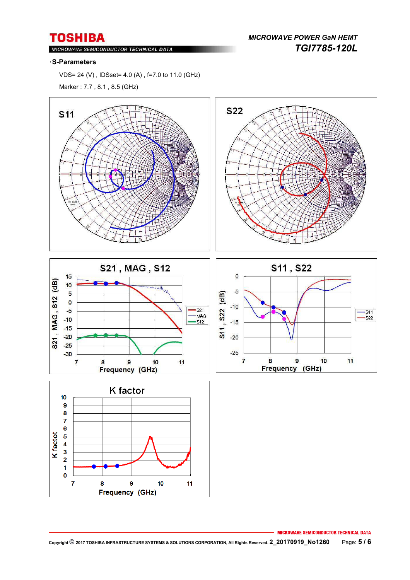MICROWAVE SEMICONDUCTOR TECHNICAL DATA

*MICROWAVE POWER GaN HEMT TGI7785-120L* 

#### ・**S-Parameters**

VDS= 24 (V) , IDSset= 4.0 (A) , f=7.0 to 11.0 (GHz)

Marker : 7.7 , 8.1 , 8.5 (GHz)



**MICROWAVE SEMICONDUCTOR TECHNICAL DATA**